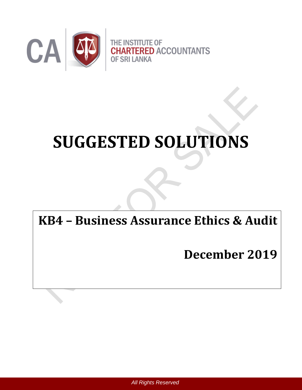

# **SUGGESTED SOLUTIONS**

# **KB4 – Business Assurance Ethics & Audit**

# **December 2019**

 *All Rights Reserved*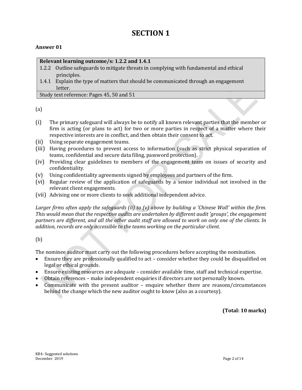## **SECTION 1**

#### **Answer 01**

#### **Relevant learning outcome/s: 1.2.2 and 1.4.1**

- 1.2.2 Outline safeguards to mitigate threats in complying with fundamental and ethical principles.
- 1.4.1 Explain the type of matters that should be communicated through an engagement letter.

Study text reference: Pages 45, 50 and 51

(a)

- (i) The primary safeguard will always be to notify all known relevant parties that the member or firm is acting (or plans to act) for two or more parties in respect of a matter where their respective interests are in conflict, and then obtain their consent to act.
- (ii) Using separate engagement teams.
- (iii) Having procedures to prevent access to information (such as strict physical separation of teams, confidential and secure data filing, password protection).
- (iv) Providing clear guidelines to members of the engagement team on issues of security and confidentiality.
- (v) Using confidentiality agreements signed by employees and partners of the firm.
- (vi) Regular review of the application of safeguards by a senior individual not involved in the relevant client engagements.
- (vii) Advising one or more clients to seek additional independent advice.

*Larger firms often apply the safeguards (ii) to (v) above by building a 'Chinese Wall' within the firm. This would mean that the respective audits are undertaken by different audit 'groups', the engagement partners are different, and all the other audit staff are allowed to work on only one of the clients. In addition, records are only accessible to the teams working on the particular client.*

(b)

The nominee auditor must carry out the following procedures before accepting the nomination.

- Ensure they are professionally qualified to act consider whether they could be disqualified on legal or ethical grounds.
- Ensure existing resources are adequate consider available time, staff and technical expertise.
- Obtain references make independent enquiries if directors are not personally known.
- Communicate with the present auditor enquire whether there are reasons/circumstances behind the change which the new auditor ought to know (also as a courtesy).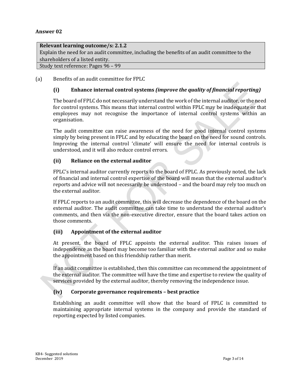#### **Relevant learning outcome/s: 2.1.2**

Explain the need for an audit committee, including the benefits of an audit committee to the shareholders of a listed entity.

Study text reference: Pages 96 – 99

#### (a) Benefits of an audit committee for FPLC

#### **(i) Enhance internal control systems** *(improve the quality of financial reporting)*

The board of FPLC do not necessarily understand the work of the internal auditor, or the need for control systems. This means that internal control within FPLC may be inadequate or that employees may not recognise the importance of internal control systems within an organisation.

The audit committee can raise awareness of the need for good internal control systems simply by being present in FPLC and by educating the board on the need for sound controls. Improving the internal control 'climate' will ensure the need for internal controls is understood, and it will also reduce control errors.

#### **(ii) Reliance on the external auditor**

FPLC's internal auditor currently reports to the board of FPLC. As previously noted, the lack of financial and internal control expertise of the board will mean that the external auditor's reports and advice will not necessarily be understood – and the board may rely too much on the external auditor.

If FPLC reports to an audit committee, this will decrease the dependence of the board on the external auditor. The audit committee can take time to understand the external auditor's comments, and then via the non-executive director, ensure that the board takes action on those comments.

#### **(iii) Appointment of the external auditor**

At present, the board of FPLC appoints the external auditor. This raises issues of independence as the board may become too familiar with the external auditor and so make the appointment based on this friendship rather than merit.

If an audit committee is established, then this committee can recommend the appointment of the external auditor. The committee will have the time and expertise to review the quality of services provided by the external auditor, thereby removing the independence issue.

#### **(iv) Corporate governance requirements – best practice**

Establishing an audit committee will show that the board of FPLC is committed to maintaining appropriate internal systems in the company and provide the standard of reporting expected by listed companies.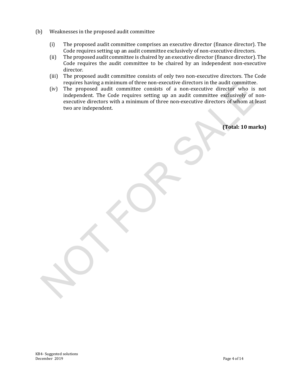- (b) Weaknesses in the proposed audit committee
	- (i) The proposed audit committee comprises an executive director (finance director). The Code requires setting up an audit committee exclusively of non-executive directors.
	- (ii) The proposed audit committee is chaired by an executive director (finance director). The Code requires the audit committee to be chaired by an independent non-executive director.
	- (iii) The proposed audit committee consists of only two non-executive directors. The Code requires having a minimum of three non-executive directors in the audit committee.
	- (iv) The proposed audit committee consists of a non-executive director who is not independent. The Code requires setting up an audit committee exclusively of nonexecutive directors with a minimum of three non-executive directors of whom at least two are independent.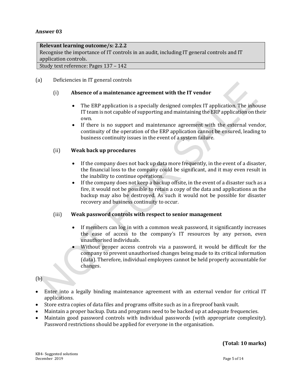#### **Relevant learning outcome/s: 2.2.2**

Recognise the importance of IT controls in an audit, including IT general controls and IT application controls.

Study text reference: Pages 137 – 142

#### (a) Deficiencies in IT general controls

#### (i) **Absence of a maintenance agreement with the IT vendor**

- The ERP application is a specially designed complex IT application. The inhouse IT team is not capable of supporting and maintaining the ERP application on their own.
- If there is no support and maintenance agreement with the external vendor, continuity of the operation of the ERP application cannot be ensured, leading to business continuity issues in the event of a system failure.

#### (ii) **Weak back up procedures**

- If the company does not back up data more frequently, in the event of a disaster, the financial loss to the company could be significant, and it may even result in the inability to continue operations.
- If the company does not keep a backup offsite, in the event of a disaster such as a fire, it would not be possible to retain a copy of the data and applications as the backup may also be destroyed. As such it would not be possible for disaster recovery and business continuity to occur.

#### (iii) **Weak password controls with respect to senior management**

- If members can log in with a common weak password, it significantly increases the ease of access to the company's IT resources by any person, even unauthorised individuals.
- Without proper access controls via a password, it would be difficult for the company to prevent unauthorised changes being made to its critical information (data). Therefore, individual employees cannot be held properly accountable for changes.

(b)

- Enter into a legally binding maintenance agreement with an external vendor for critical IT applications.
- Store extra copies of data files and programs offsite such as in a fireproof bank vault.
- Maintain a proper backup. Data and programs need to be backed up at adequate frequencies.
- Maintain good password controls with individual passwords (with appropriate complexity). Password restrictions should be applied for everyone in the organisation.

#### **(Total: 10 marks)**

KB4- Suggested solutions December 2019 Page 5 of 14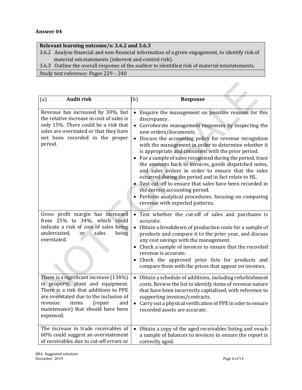#### **Relevant learning outcome/s: 3.6.2 and 3.6.3**

- 3.6.2 Analyse financial and non-financial information of a given engagement, to identify risk of material misstatements (inherent and control risk).
- 3.6.3 Outline the overall response of the auditor to identified risk of material misstatements.

Study text reference: Pages 229 – 240

| (a)<br><b>Audit risk</b>                                                                                                                                                                                                                                | (b)<br><b>Response</b>                                                                                                                                                                                                                                                                                                                                                                                                                                                                                                                                                                                                                                                                                                                                                                         |
|---------------------------------------------------------------------------------------------------------------------------------------------------------------------------------------------------------------------------------------------------------|------------------------------------------------------------------------------------------------------------------------------------------------------------------------------------------------------------------------------------------------------------------------------------------------------------------------------------------------------------------------------------------------------------------------------------------------------------------------------------------------------------------------------------------------------------------------------------------------------------------------------------------------------------------------------------------------------------------------------------------------------------------------------------------------|
| Revenue has increased by 30%, but<br>the relative increase in cost of sales is<br>only 15%. There could be a risk that<br>sales are overstated or that they have<br>not been recorded in the proper<br>period.                                          | Enquire the management on possible reasons for this<br>$\bullet$<br>discrepancy.<br>Corroborate management responses by inspecting the<br>$\bullet$<br>new orders/documents.<br>Discuss the accounting policy for revenue recognition<br>$\bullet$<br>with the management in order to determine whether it<br>is appropriate and consistent with the prior period.<br>For a sample of sales recognised during the period, trace<br>the amounts back to invoices, goods dispatched notes,<br>and sales orders in order to ensure that the sales<br>occurred during the period and in fact relate to HL.<br>Test cut-off to ensure that sales have been recorded in<br>the correct accounting period.<br>Perform analytical procedures, focusing on comparing<br>revenue with expected patterns. |
| Gross profit margin has increased<br>from 25% to 34%, which could<br>indicate a risk of cost of sales being<br>understated,<br>sales<br>being<br><sub>or</sub><br>overstated.                                                                           | • Test whether the cut-off of sales and purchases is<br>accurate.<br>$\bullet$<br>Obtain a breakdown of production costs for a sample of<br>products and compare it to the prior year, and discuss<br>any cost savings with the management.<br>Check a sample of invoices to ensure that the recorded<br>revenue is accurate.<br>• Check the approved price lists for products and<br>compare them with the prices that appear on invoices.                                                                                                                                                                                                                                                                                                                                                    |
| There is a significant increase (134%)<br>in property, plant and equipment.<br>There is a risk that additions to PPE<br>are overstated due to the inclusion of<br>items<br>and<br>(repair<br>revenue<br>maintenance) that should have been<br>expensed. | Obtain a schedule of additions, including refurbishment<br>costs. Review the list to identify items of revenue nature<br>that have been incorrectly capitalised, with reference to<br>supporting invoices/contracts.<br>Carry out a physical verification of PPE in oder to ensure<br>recorded assets are accurate.                                                                                                                                                                                                                                                                                                                                                                                                                                                                            |
| The increase in trade receivables of<br>60% could suggest an overstatement<br>of receivables due to cut-off errors or                                                                                                                                   | Obtain a copy of the aged receivables listing and vouch<br>$\bullet$<br>a sample of balances to invoices to ensure the report is<br>correctly aged.                                                                                                                                                                                                                                                                                                                                                                                                                                                                                                                                                                                                                                            |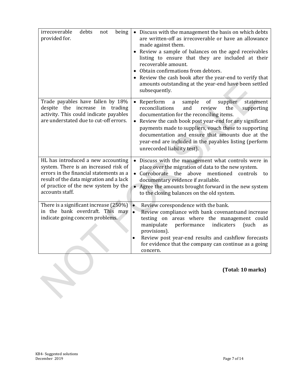| irrecoverable<br>debts<br>being<br>not<br>provided for.                                                                                                                                                                      | • Discuss with the management the basis on which debts<br>are written-off as irrecoverable or have an allowance<br>made against them.<br>Review a sample of balances on the aged receivables<br>$\bullet$<br>listing to ensure that they are included at their<br>recoverable amount.<br>Obtain confirmations from debtors.<br>Review the cash book after the year-end to verify that<br>amounts outstanding at the year-end have been settled<br>subsequently. |
|------------------------------------------------------------------------------------------------------------------------------------------------------------------------------------------------------------------------------|-----------------------------------------------------------------------------------------------------------------------------------------------------------------------------------------------------------------------------------------------------------------------------------------------------------------------------------------------------------------------------------------------------------------------------------------------------------------|
| Trade payables have fallen by 18%<br>despite the increase in trading<br>activity. This could indicate payables<br>are understated due to cut-off errors.                                                                     | Reperform<br>sample<br>supplier<br>statement<br>0f<br>$\bullet$<br>a<br>reconciliations<br>and<br>the<br>review<br>supporting<br>documentation for the reconciling items.<br>Review the cash book post year-end for any significant<br>payments made to suppliers, vouch these to supporting<br>documentation and ensure that amounts due at the<br>year-end are included in the payables listing (perform<br>unrecorded liability test).                       |
| HL has introduced a new accounting<br>system. There is an increased risk of<br>errors in the financial statements as a<br>result of the data migration and a lack<br>of practice of the new system by the<br>accounts staff. | Discuss with the management what controls were in<br>$\bullet$<br>place over the migration of data to the new system.<br>• Corroborate the<br>above<br>mentioned<br>controls<br>to<br>documentary evidence if available.<br>• Agree the amounts brought forward in the new system<br>to the closing balances on the old system.                                                                                                                                 |
| There is a significant increase (250%)<br>in the bank overdraft. This may<br>indicate going concern problems.                                                                                                                | Review corespondence with the bank.<br>$\bullet$<br>$\bullet$<br>Review compliance with bank covenantsand increase<br>testing on areas where the management could<br>manipulate<br>performance<br>indicaters<br>(such<br>as<br>provisions).<br>Review post year-end results and cashflow forecasts<br>$\bullet$<br>for evidence that the company can continue as a going<br>concern.                                                                            |
|                                                                                                                                                                                                                              | (Total: 10 marks)                                                                                                                                                                                                                                                                                                                                                                                                                                               |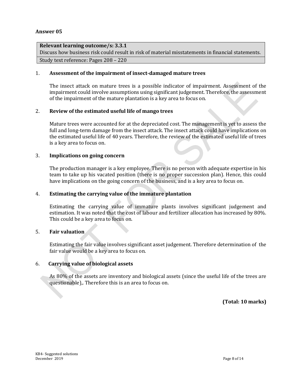#### **Relevant learning outcome/s: 3.3.1**

Discuss how business risk could result in risk of material misstatements in financial statements. Study text reference: Pages 208 – 220

#### 1. **Assessment of the impairment of insect-damaged mature trees**

The insect attack on mature trees is a possible indicator of impairment. Assessment of the impairment could involve assumptions using significant judgement. Therefore, the assessment of the impairment of the mature plantation is a key area to focus on.

#### 2. **Review of the estimated useful life of mango trees**

Mature trees were accounted for at the depreciated cost. The management is yet to assess the full and long-term damage from the insect attack. The insect attack could have implications on the estimated useful life of 40 years. Therefore, the review of the estimated useful life of trees is a key area to focus on.

#### 3. **Implications on going concern**

The production manager is a key employee. There is no person with adequate expertise in his team to take up his vacated position (there is no proper succession plan). Hence, this could have implications on the going concern of the business, and is a key area to focus on.

#### 4. **Estimating the carrying value of the immature plantation**

Estimating the carrying value of immature plants involves significant judgement and estimation. It was noted that the cost of labour and fertilizer allocation has increased by 80%. This could be a key area to focus on.

#### 5. **Fair valuation**

Estimating the fair value involves significant asset judgement. Therefore determination of the fair value would be a key area to focus on.

#### 6. **Carrying value of biological assets**

As 80% of the assets are inventory and biological assets (since the useful life of the trees are questionable),. Therefore this is an area to focus on.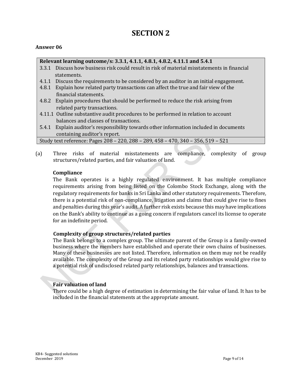### **SECTION 2**

#### **Answer 06**

#### **Relevant learning outcome/s: 3.3.1, 4.1.1, 4.8.1, 4.8.2, 4.11.1 and 5.4.1**

- 3.3.1 Discuss how business risk could result in risk of material misstatements in financial statements.
- 4.1.1 Discuss the requirements to be considered by an auditor in an initial engagement.
- 4.8.1 Explain how related party transactions can affect the true and fair view of the financial statements.
- 4.8.2 Explain procedures that should be performed to reduce the risk arising from related party transactions.
- 4.11.1 Outline substantive audit procedures to be performed in relation to account balances and classes of transactions.
- 5.4.1 Explain auditor's responsibility towards other information included in documents containing auditor's report.

| Study text reference: Pages 208 - 220, 288 - 289, 458 - 470, 340 - 356, 519 - 521 |  |
|-----------------------------------------------------------------------------------|--|
|                                                                                   |  |

(a) Three risks of material misstatements are compliance, complexity of group structures/related parties, and fair valuation of land.

#### **Compliance**

The Bank operates is a highly regulated environment. It has multiple compliance requirements arising from being listed on the Colombo Stock Exchange, along with the regulatory requirements for banks in Sri Lanka and other statutory requirements. Therefore, there is a potential risk of non-compliance, litigation and claims that could give rise to fines and penalties during this year's audit. A further risk exists because this may have implications on the Bank's ability to continue as a going concern if regulators cancel its license to operate for an indefinite period.

#### **Complexity of group structures/related parties**

The Bank belongs to a complex group. The ultimate parent of the Group is a family-owned business where the members have established and operate their own chains of businesses. Many of these businesses are not listed. Therefore, information on them may not be readily available. The complexity of the Group and its related party relationships would give rise to a potential risk of undisclosed related party relationships, balances and transactions.

#### **Fair valuation of land**

There could be a high degree of estimation in determining the fair value of land. It has to be included in the financial statements at the appropriate amount.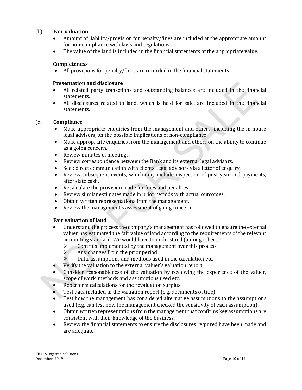#### (b) **Fair valuation**

- Amount of liability/provision for penalty/fines are included at the appropriate amount for non-compliance with laws and regulations.
- The value of the land is included in the financial statements at the appropriate value.

#### **Completeness**

All provisions for penalty/fines are recorded in the financial statements.

#### **Presentation and disclosure**

- All related party transctions and outstanding balances are included in the financial statements.
- All disclosures related to land, which is held for sale, are included in the financial statements.

#### (c) **Compliance**

- Make appropriate enquiries from the management and others, including the in-house legal advisors, on the possible implications of non-compliance.
- Make appropriate enquiries from the management and others on the ability to continue as a going concern.
- Review minutes of meetings.
- Review correspondence between the Bank and its external legal advisors.
- Seek direct communication with clients' legal advisors via a letter of enquiry.
- Review subsequent events, which may include inspection of post year-end payments, after-date cash.
- Recalculate the provision made for fines and penalties.
- Review similar estimates made in prior periods with actual outcomes.
- Obtain written representations from the management.
- Review the management's assessment of going concern.

#### **Fair valuation of land**

- Understand the process the company's management has followed to ensure the external valuer has estimated the fair value of land according to the requirements of the relevant accounting standard. We would have to understand (among others):
	- $\triangleright$  Controls implemented by the management over this process
	- $\triangleright$  Any changes from the prior period
	- Data, assumptions and methods used in the calculation etc.
- Verify the valuation to the external valuer's valuation report.
- Consider reasonableness of the valuation by reviewing the experience of the valuer, scope of work, methods and assumptions used etc.
- Reperform calculations for the revaluation surplus.
- Test data included in the valuation report (e.g. documents of title).
- Test how the management has considered alternative assumptions to the assumptions used (e.g. can test how the management checked the sensitivity of each assumption).
- Obtain written representations from the management that confirms key assumptions are consistent with their knowledge of the business.
- Review the financial statements to ensure the disclosures required have been made and are adequate.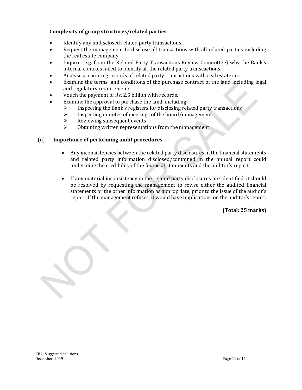#### **Complexity of group structures/related parties**

- Identify any undisclosed related party transactions.
- Request the management to disclose all transactions with all related parties including the real estate company.
- Inquire (e.g. from the Related Party Transactions Review Committee) why the Bank's internal controls failed to identify all the related party transcactions.
- Analyse accounting records of related party transactions with real estate co..
- Examine the terms and conditions of the purchase contract of the land including legal and regulatory requirements..
- Vouch the payment of Rs. 2.5 billion with records.
- Examine the approval to purchase the land, including:
	- $\triangleright$  Inspecting the Bank's registers for disclosing related party transactions
	- $\triangleright$  Inspecting minutes of meetings of the board/management
	- $\triangleright$  Reviewing subsequent events
	- $\triangleright$  Obtaining written representations from the management

#### (d) **Importance of performing audit procedures**

- Any inconsistencies between the related party disclosures in the financial statements and related party information disclosed/contained in the annual report could undermine the credibility of the financial statements and the auditor's report.
- If any material inconsistency in the related party disclosures are identified, it should be resolved by requesting the management to revise either the audited financial statements or the other information as appropriate, prior to the issue of the audior's report. If the management refuses, it would have implications on the auditor's report.

**(Total: 25 marks)**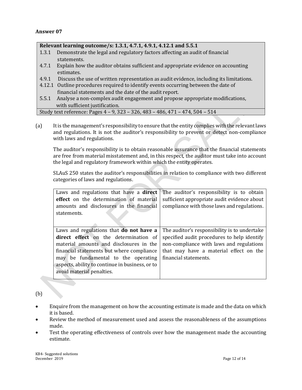#### **Relevant learning outcome/s: 1.3.1, 4.7.1, 4.9.1, 4.12.1 and 5.5.1**

- 1.3.1 Demonstrate the legal and regulatory factors affecting an audit of financial statements.
- 4.7.1 Explain how the auditor obtains sufficient and appropriate evidence on accounting estimates.
- 4.9.1 Discuss the use of written representation as audit evidence, including its limitations.
- 4.12.1 Outline procedures required to identify events occurring between the date of financial statements and the date of the audit report.
- 5.5.1 Analyse a non-complex audit engagement and propose appropriate modifications, with sufficient justification.

Study text reference: Pages 4 – 9, 323 – 326, 483 – 486, 471 – 474, 504 – 514

(a) It is the management's responsibility to ensure that the entity complies with the relevant laws and regulations. It is not the auditor's responsibility to prevent or detect non-compliance with laws and regulations.

The auditor's responsibility is to obtain reasonable assurance that the financial statements are free from material misstatement and, in this respect, the auditor must take into account the legal and regulatory framework within which the entity operates.

SLAuS 250 states the auditor's responsibilities in relation to compliance with two different categories of laws and regulations.

| Laws and regulations that have a <b>direct</b>  | The auditor's responsibility is to obtain    |  |
|-------------------------------------------------|----------------------------------------------|--|
| effect on the determination of material         | sufficient appropriate audit evidence about  |  |
| amounts and disclosures in the financial        | compliance with those laws and regulations.  |  |
| statements.                                     |                                              |  |
|                                                 |                                              |  |
|                                                 |                                              |  |
| Laws and regulations that <b>do not have a</b>  | The auditor's responsibility is to undertake |  |
| direct effect on the determination of           | specified audit procedures to help identify  |  |
| material amounts and disclosures in the         | non-compliance with laws and regulations     |  |
| financial statements but where compliance       | that may have a material effect on the       |  |
| may be fundamental to the operating             | financial statements.                        |  |
| aspects, ability to continue in business, or to |                                              |  |
| avoid material penalties.                       |                                              |  |
|                                                 |                                              |  |

#### (b)

- Enquire from the management on how the accounting estimate is made and the data on which it is based.
- Review the method of measurement used and assess the reasonableness of the assumptions made.
- Test the operating effectiveness of controls over how the management made the accounting estimate.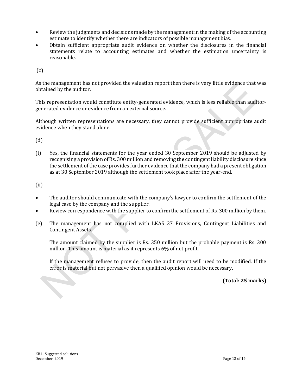- Review the judgments and decisions made by the management in the making of the accounting estimate to identify whether there are indicators of possible management bias.
- Obtain sufficient appropriate audit evidence on whether the disclosures in the financial statements relate to accounting estimates and whether the estimation uncertainty is reasonable.

(c)

As the management has not provided the valuation report then there is very little evidence that was obtained by the auditor.

This representation would constitute entity-generated evidence, which is less reliable than auditorgenerated evidence or evidence from an external source.

Although written representations are necessary, they cannot provide sufficient appropriate audit evidence when they stand alone.

(d)

(i) Yes, the financial statements for the year ended 30 September 2019 should be adjusted by recognising a provision of Rs. 300 million and removing the contingent liability disclosure since the settlement of the case provides further evidence that the company had a present obligation as at 30 September 2019 although the settlement took place after the year-end.

(ii)

- The auditor should communicate with the company's lawyer to confirm the settlement of the legal case by the company and the supplier.
- Review correspondence with the supplier to confirm the settlement of Rs. 300 million by them.
- (e) The management has not complied with LKAS 37 Provisions, Contingent Liabilities and Contingent Assets.

The amount claimed by the supplier is Rs. 350 million but the probable payment is Rs. 300 million. This amount is material as it represents 6% of net profit.

If the management refuses to provide, then the audit report will need to be modified. If the error is material but not pervasive then a qualified opinion would be necessary.

**(Total: 25 marks)**